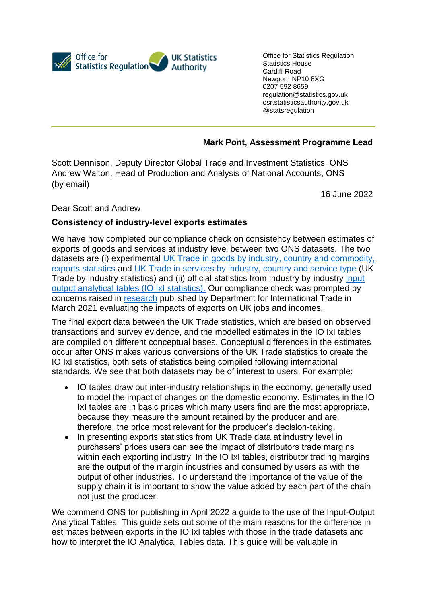

Office for Statistics Regulation Statistics House Cardiff Road Newport, NP10 8XG 0207 592 8659 [regulation@statistics.gov.uk](mailto:E:%E2%80%82regulation@statistics.gov.uk)  osr.statisticsauthority.gov.uk @statsregulation

## **Mark Pont, Assessment Programme Lead**

Scott Dennison, Deputy Director Global Trade and Investment Statistics, ONS Andrew Walton, Head of Production and Analysis of National Accounts, ONS (by email)

16 June 2022

Dear Scott and Andrew

## **Consistency of industry-level exports estimates**

We have now completed our compliance check on consistency between estimates of exports of goods and services at industry level between two ONS datasets. The two datasets are (i) experimental [UK Trade in goods by industry, country and commodity,](https://www.ons.gov.uk/economy/nationalaccounts/balanceofpayments/datasets/uktradeingoodsbyindustrycountryandcommodityexports)  [exports statistics](https://www.ons.gov.uk/economy/nationalaccounts/balanceofpayments/datasets/uktradeingoodsbyindustrycountryandcommodityexports) and [UK Trade in services by industry, country and service type](https://www.ons.gov.uk/economy/nationalaccounts/balanceofpayments/articles/uktradeinservicesbyindustrycountryandservicetype/2016to2018) (UK Trade by industry statistics) and (ii) official statistics from industry by industry [input](https://www.ons.gov.uk/economy/nationalaccounts/supplyandusetables/datasets/ukinputoutputanalyticaltablesindustrybyindustry)  [output analytical tables \(IO IxI statistics\).](https://www.ons.gov.uk/economy/nationalaccounts/supplyandusetables/datasets/ukinputoutputanalyticaltablesindustrybyindustry) Our compliance check was prompted by concerns raised in [research](https://www.gov.uk/government/publications/evaluating-the-impact-of-exports-on-uk-jobs-and-incomes) published by Department for International Trade in March 2021 evaluating the impacts of exports on UK jobs and incomes.

The final export data between the UK Trade statistics, which are based on observed transactions and survey evidence, and the modelled estimates in the IO IxI tables are compiled on different conceptual bases. Conceptual differences in the estimates occur after ONS makes various conversions of the UK Trade statistics to create the IO IxI statistics, both sets of statistics being compiled following international standards. We see that both datasets may be of interest to users. For example:

- IO tables draw out inter-industry relationships in the economy, generally used to model the impact of changes on the domestic economy. Estimates in the IO IxI tables are in basic prices which many users find are the most appropriate, because they measure the amount retained by the producer and are, therefore, the price most relevant for the producer's decision-taking.
- In presenting exports statistics from UK Trade data at industry level in purchasers' prices users can see the impact of distributors trade margins within each exporting industry. In the IO IxI tables, distributor trading margins are the output of the margin industries and consumed by users as with the output of other industries. To understand the importance of the value of the supply chain it is important to show the value added by each part of the chain not just the producer.

We commend ONS for publishing in April 2022 [a guide](https://www.ons.gov.uk/economy/nationalaccounts/supplyandusetables/articles/inputoutputanalyticaltables/guidanceforuse) to the use of the Input-Output Analytical Tables. This guide sets out some of the main reasons for the difference in estimates between exports in the IO IxI tables with those in the trade datasets and how to interpret the IO Analytical Tables data. This guide will be valuable in